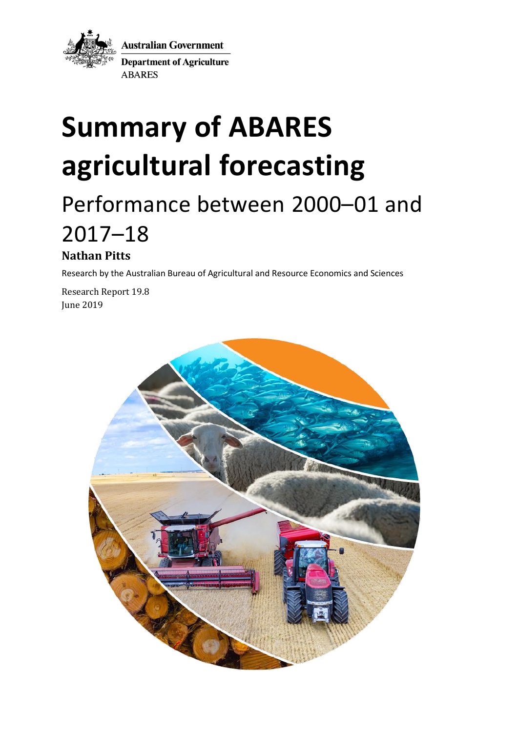

**Australian Government Department of Agriculture ABARES** 

# **Summary of ABARES agricultural forecasting**

## Performance between 2000–01 and 2017–18

### **Nathan Pitts**

Research by the Australian Bureau of Agricultural and Resource Economics and Sciences

Research Report 19.8 June 2019

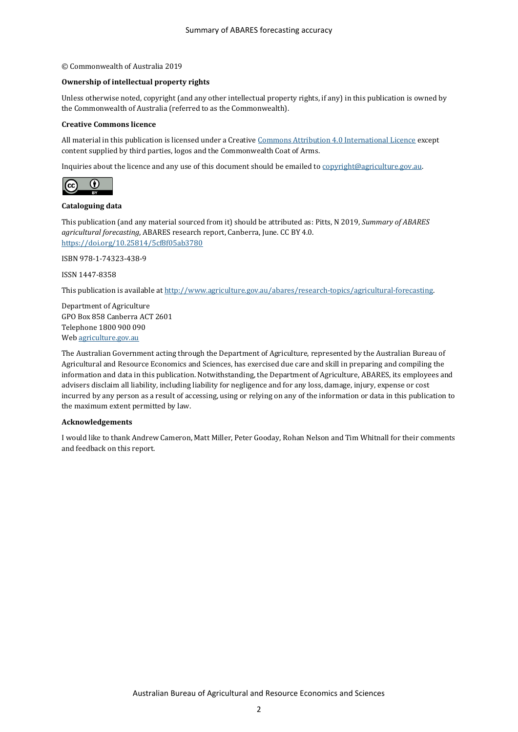#### © Commonwealth of Australia 2019

#### **Ownership of intellectual property rights**

Unless otherwise noted, copyright (and any other intellectual property rights, if any) in this publication is owned by the Commonwealth of Australia (referred to as the Commonwealth).

#### **Creative Commons licence**

All material in this publication is licensed under a Creativ[e Commons Attribution 4.0 International Licence](https://creativecommons.org/licenses/by/4.0/legalcode) except content supplied by third parties, logos and the Commonwealth Coat of Arms.

Inquiries about the licence and any use of this document should be emailed t[o copyright@agriculture.gov.au.](mailto:copyright@agriculture.gov.au)



#### **Cataloguing data**

This publication (and any material sourced from it) should be attributed as: Pitts, N 2019, *Summary of ABARES agricultural forecasting*, ABARES research report, Canberra, June. CC BY 4.0. <https://doi.org/10.25814/5cf8f05ab3780>

ISBN 978-1-74323-438-9

ISSN 1447-8358

This publication is available a[t http://www.agriculture.gov.au/abares/research-topics/agricultural-forecasting.](http://www.agriculture.gov.au/abares/research-topics/agricultural-forecasting)

Department of Agriculture GPO Box 858 Canberra ACT 2601 Telephone 1800 900 090 We[b agriculture.gov.au](http://agriculture.gov.au/)

The Australian Government acting through the Department of Agriculture, represented by the Australian Bureau of Agricultural and Resource Economics and Sciences, has exercised due care and skill in preparing and compiling the information and data in this publication. Notwithstanding, the Department of Agriculture, ABARES, its employees and advisers disclaim all liability, including liability for negligence and for any loss, damage, injury, expense or cost incurred by any person as a result of accessing, using or relying on any of the information or data in this publication to the maximum extent permitted by law.

#### **Acknowledgements**

I would like to thank Andrew Cameron, Matt Miller, Peter Gooday, Rohan Nelson and Tim Whitnall for their comments and feedback on this report.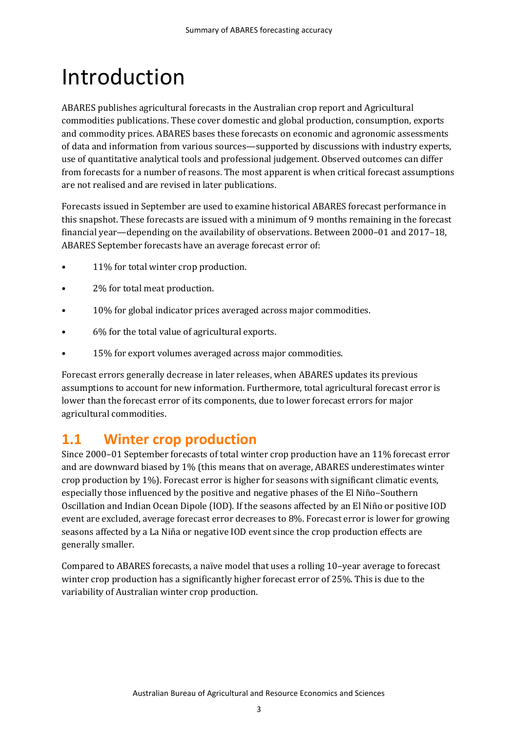## Introduction

ABARES publishes agricultural forecasts in the Australian crop report and Agricultural commodities publications. These cover domestic and global production, consumption, exports and commodity prices. ABARES bases these forecasts on economic and agronomic assessments of data and information from various sources—supported by discussions with industry experts, use of quantitative analytical tools and professional judgement. Observed outcomes can differ from forecasts for a number of reasons. The most apparent is when critical forecast assumptions are not realised and are revised in later publications.

Forecasts issued in September are used to examine historical ABARES forecast performance in this snapshot. These forecasts are issued with a minimum of 9 months remaining in the forecast financial year—depending on the availability of observations. Between 2000–01 and 2017–18, ABARES September forecasts have an average forecast error of:

- 11% for total winter crop production.
- 2% for total meat production.
- 10% for global indicator prices averaged across major commodities.
- 6% for the total value of agricultural exports.
- 15% for export volumes averaged across major commodities.

Forecast errors generally decrease in later releases, when ABARES updates its previous assumptions to account for new information. Furthermore, total agricultural forecast error is lower than the forecast error of its components, due to lower forecast errors for major agricultural commodities.

### **1.1 Winter crop production**

Since 2000–01 September forecasts of total winter crop production have an 11% forecast error and are downward biased by 1% (this means that on average, ABARES underestimates winter crop production by 1%). Forecast error is higher for seasons with significant climatic events, especially those influenced by the positive and negative phases of the El Niño–Southern Oscillation and Indian Ocean Dipole (IOD). If the seasons affected by an El Niño or positive IOD event are excluded, average forecast error decreases to 8%. Forecast error is lower for growing seasons affected by a La Niña or negative IOD event since the crop production effects are generally smaller.

Compared to ABARES forecasts, a naïve model that uses a rolling 10–year average to forecast winter crop production has a significantly higher forecast error of 25%. This is due to the variability of Australian winter crop production.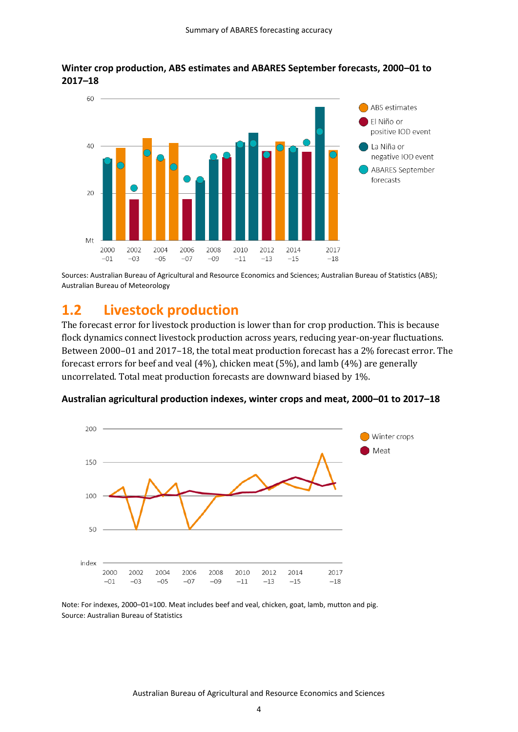

### **Winter crop production, ABS estimates and ABARES September forecasts, 2000–01 to 2017–18**

Sources: Australian Bureau of Agricultural and Resource Economics and Sciences; Australian Bureau of Statistics (ABS); Australian Bureau of Meteorology

### **1.2 Livestock production**

The forecast error for livestock production is lower than for crop production. This is because flock dynamics connect livestock production across years, reducing year-on-year fluctuations. Between 2000–01 and 2017–18, the total meat production forecast has a 2% forecast error. The forecast errors for beef and veal (4%), chicken meat (5%), and lamb (4%) are generally uncorrelated. Total meat production forecasts are downward biased by 1%.

### **Australian agricultural production indexes, winter crops and meat, 2000–01 to 2017–18**



Note: For indexes, 2000–01=100. Meat includes beef and veal, chicken, goat, lamb, mutton and pig. Source: Australian Bureau of Statistics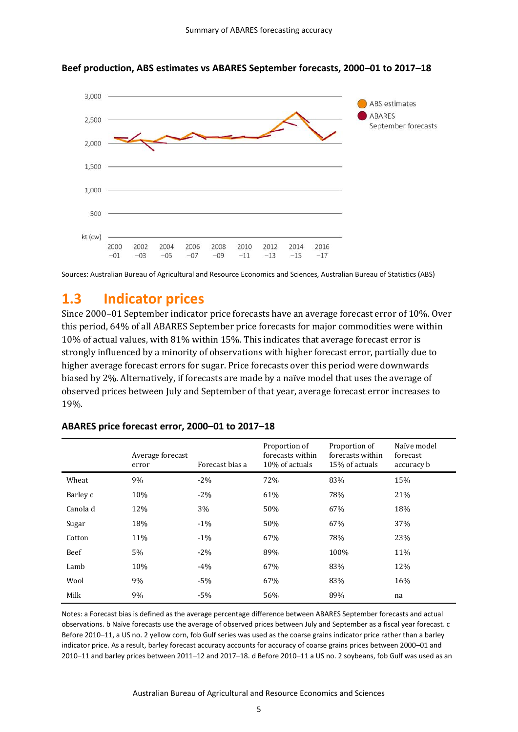

**Beef production, ABS estimates vs ABARES September forecasts, 2000–01 to 2017–18**

Sources: Australian Bureau of Agricultural and Resource Economics and Sciences, Australian Bureau of Statistics (ABS)

### **1.3 Indicator prices**

Since 2000–01 September indicator price forecasts have an average forecast error of 10%. Over this period, 64% of all ABARES September price forecasts for major commodities were within 10% of actual values, with 81% within 15%. This indicates that average forecast error is strongly influenced by a minority of observations with higher forecast error, partially due to higher average forecast errors for sugar. Price forecasts over this period were downwards biased by 2%. Alternatively, if forecasts are made by a naïve model that uses the average of observed prices between July and September of that year, average forecast error increases to 19%.

|          | Average forecast<br>error | Forecast bias a | Proportion of<br>forecasts within<br>10% of actuals | Proportion of<br>forecasts within<br>15% of actuals | Naïve model<br>forecast<br>accuracy b |
|----------|---------------------------|-----------------|-----------------------------------------------------|-----------------------------------------------------|---------------------------------------|
| Wheat    | 9%                        | $-2\%$          | 72%                                                 | 83%                                                 | 15%                                   |
| Barley c | 10%                       | $-2\%$          | 61%                                                 | 78%                                                 | 21%                                   |
| Canola d | 12%                       | 3%              | 50%                                                 | 67%                                                 | 18%                                   |
| Sugar    | 18%                       | $-1\%$          | 50%                                                 | 67%                                                 | 37%                                   |
| Cotton   | 11%                       | $-1\%$          | 67%                                                 | 78%                                                 | 23%                                   |
| Beef     | 5%                        | $-2\%$          | 89%                                                 | 100%                                                | 11%                                   |
| Lamb     | 10%                       | $-4%$           | 67%                                                 | 83%                                                 | 12%                                   |
| Wool     | 9%                        | $-5%$           | 67%                                                 | 83%                                                 | 16%                                   |
| Milk     | 9%                        | $-5%$           | 56%                                                 | 89%                                                 | na                                    |

### **ABARES price forecast error, 2000–01 to 2017–18**

Notes: a Forecast bias is defined as the average percentage difference between ABARES September forecasts and actual observations. b Naïve forecasts use the average of observed prices between July and September as a fiscal year forecast. c Before 2010–11, a US no. 2 yellow corn, fob Gulf series was used as the coarse grains indicator price rather than a barley indicator price. As a result, barley forecast accuracy accounts for accuracy of coarse grains prices between 2000–01 and 2010–11 and barley prices between 2011–12 and 2017–18. d Before 2010–11 a US no. 2 soybeans, fob Gulf was used as an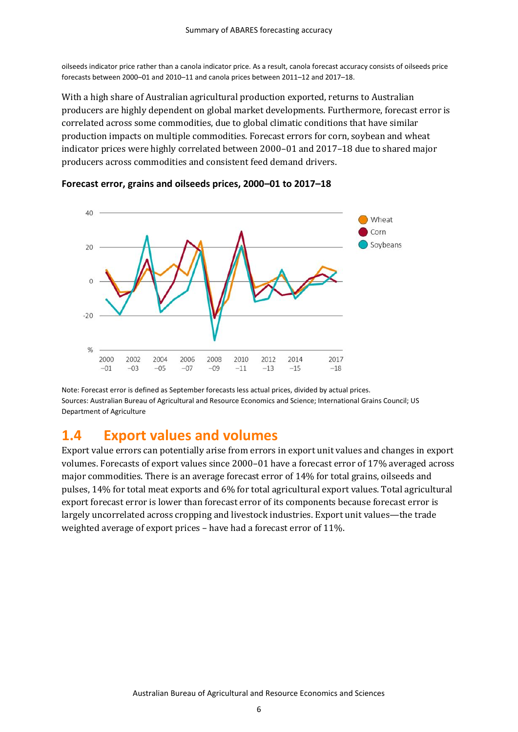oilseeds indicator price rather than a canola indicator price. As a result, canola forecast accuracy consists of oilseeds price forecasts between 2000–01 and 2010–11 and canola prices between 2011–12 and 2017–18.

With a high share of Australian agricultural production exported, returns to Australian producers are highly dependent on global market developments. Furthermore, forecast error is correlated across some commodities, due to global climatic conditions that have similar production impacts on multiple commodities. Forecast errors for corn, soybean and wheat indicator prices were highly correlated between 2000–01 and 2017–18 due to shared major producers across commodities and consistent feed demand drivers.



### **Forecast error, grains and oilseeds prices, 2000–01 to 2017–18**

Note: Forecast error is defined as September forecasts less actual prices, divided by actual prices. Sources: Australian Bureau of Agricultural and Resource Economics and Science; International Grains Council; US Department of Agriculture

### **1.4 Export values and volumes**

Export value errors can potentially arise from errors in export unit values and changes in export volumes. Forecasts of export values since 2000–01 have a forecast error of 17% averaged across major commodities. There is an average forecast error of 14% for total grains, oilseeds and pulses, 14% for total meat exports and 6% for total agricultural export values. Total agricultural export forecast error is lower than forecast error of its components because forecast error is largely uncorrelated across cropping and livestock industries. Export unit values—the trade weighted average of export prices – have had a forecast error of 11%.